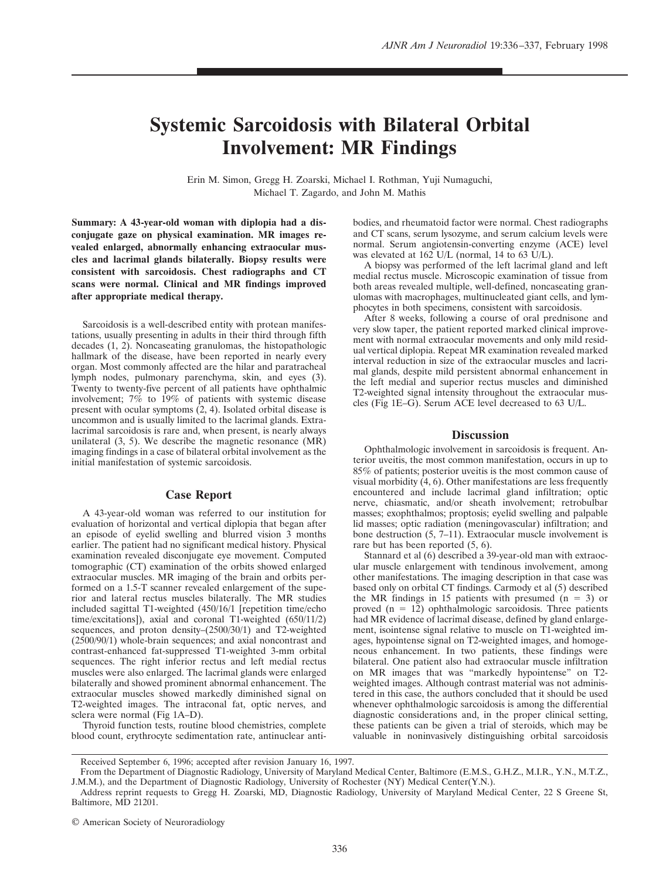## **Systemic Sarcoidosis with Bilateral Orbital Involvement: MR Findings**

Erin M. Simon, Gregg H. Zoarski, Michael I. Rothman, Yuji Numaguchi, Michael T. Zagardo, and John M. Mathis

**Summary: A 43-year-old woman with diplopia had a disconjugate gaze on physical examination. MR images revealed enlarged, abnormally enhancing extraocular muscles and lacrimal glands bilaterally. Biopsy results were consistent with sarcoidosis. Chest radiographs and CT scans were normal. Clinical and MR findings improved after appropriate medical therapy.**

Sarcoidosis is a well-described entity with protean manifestations, usually presenting in adults in their third through fifth decades (1, 2). Noncaseating granulomas, the histopathologic hallmark of the disease, have been reported in nearly every organ. Most commonly affected are the hilar and paratracheal lymph nodes, pulmonary parenchyma, skin, and eyes (3). Twenty to twenty-five percent of all patients have ophthalmic involvement; 7% to 19% of patients with systemic disease present with ocular symptoms  $(2, 4)$ . Isolated orbital disease is uncommon and is usually limited to the lacrimal glands. Extralacrimal sarcoidosis is rare and, when present, is nearly always unilateral (3, 5). We describe the magnetic resonance (MR) imaging findings in a case of bilateral orbital involvement as the initial manifestation of systemic sarcoidosis.

## **Case Report**

A 43-year-old woman was referred to our institution for evaluation of horizontal and vertical diplopia that began after an episode of eyelid swelling and blurred vision 3 months earlier. The patient had no significant medical history. Physical examination revealed disconjugate eye movement. Computed tomographic (CT) examination of the orbits showed enlarged extraocular muscles. MR imaging of the brain and orbits performed on a 1.5-T scanner revealed enlargement of the superior and lateral rectus muscles bilaterally. The MR studies included sagittal T1-weighted (450/16/1 [repetition time/echo time/excitations]), axial and coronal T1-weighted (650/11/2) sequences, and proton density–(2500/30/1) and T2-weighted (2500/90/1) whole-brain sequences; and axial noncontrast and contrast-enhanced fat-suppressed T1-weighted 3-mm orbital sequences. The right inferior rectus and left medial rectus muscles were also enlarged. The lacrimal glands were enlarged bilaterally and showed prominent abnormal enhancement. The extraocular muscles showed markedly diminished signal on T2-weighted images. The intraconal fat, optic nerves, and sclera were normal (Fig 1A–D).

Thyroid function tests, routine blood chemistries, complete blood count, erythrocyte sedimentation rate, antinuclear antibodies, and rheumatoid factor were normal. Chest radiographs and CT scans, serum lysozyme, and serum calcium levels were normal. Serum angiotensin-converting enzyme (ACE) level was elevated at 162 U/L (normal, 14 to 63 U/L).

A biopsy was performed of the left lacrimal gland and left medial rectus muscle. Microscopic examination of tissue from both areas revealed multiple, well-defined, noncaseating granulomas with macrophages, multinucleated giant cells, and lymphocytes in both specimens, consistent with sarcoidosis.

After 8 weeks, following a course of oral prednisone and very slow taper, the patient reported marked clinical improvement with normal extraocular movements and only mild residual vertical diplopia. Repeat MR examination revealed marked interval reduction in size of the extraocular muscles and lacrimal glands, despite mild persistent abnormal enhancement in the left medial and superior rectus muscles and diminished T2-weighted signal intensity throughout the extraocular muscles (Fig 1E–G). Serum ACE level decreased to 63 U/L.

## **Discussion**

Ophthalmologic involvement in sarcoidosis is frequent. Anterior uveitis, the most common manifestation, occurs in up to 85% of patients; posterior uveitis is the most common cause of visual morbidity  $(4, 6)$ . Other manifestations are less frequently encountered and include lacrimal gland infiltration; optic nerve, chiasmatic, and/or sheath involvement; retrobulbar masses; exophthalmos; proptosis; eyelid swelling and palpable lid masses; optic radiation (meningovascular) infiltration; and bone destruction (5, 7–11). Extraocular muscle involvement is rare but has been reported (5, 6).

Stannard et al (6) described a 39-year-old man with extraocular muscle enlargement with tendinous involvement, among other manifestations. The imaging description in that case was based only on orbital CT findings. Carmody et al (5) described the MR findings in 15 patients with presumed  $(n = 3)$  or proved  $(n = 12)$  ophthalmologic sarcoidosis. Three patients had MR evidence of lacrimal disease, defined by gland enlargement, isointense signal relative to muscle on T1-weighted images, hypointense signal on T2-weighted images, and homogeneous enhancement. In two patients, these findings were bilateral. One patient also had extraocular muscle infiltration on MR images that was "markedly hypointense" on T2 weighted images. Although contrast material was not administered in this case, the authors concluded that it should be used whenever ophthalmologic sarcoidosis is among the differential diagnostic considerations and, in the proper clinical setting, these patients can be given a trial of steroids, which may be valuable in noninvasively distinguishing orbital sarcoidosis

Received September 6, 1996; accepted after revision January 16, 1997.

From the Department of Diagnostic Radiology, University of Maryland Medical Center, Baltimore (E.M.S., G.H.Z., M.I.R., Y.N., M.T.Z., J.M.M.), and the Department of Diagnostic Radiology, University of Rochester (NY) Medical Center(Y.N.).

Address reprint requests to Gregg H. Zoarski, MD, Diagnostic Radiology, University of Maryland Medical Center, 22 S Greene St, Baltimore, MD 21201.

<sup>©</sup> American Society of Neuroradiology